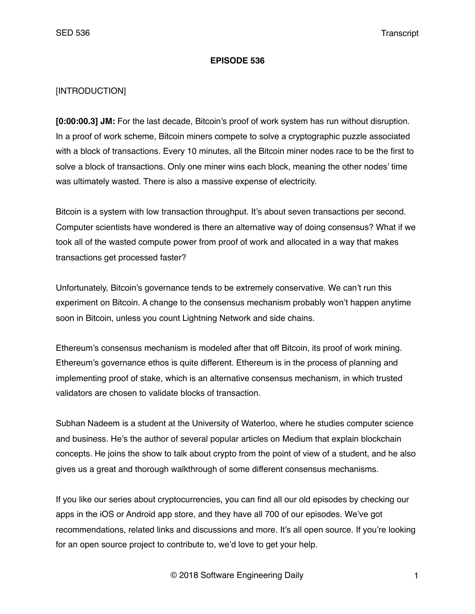#### **EPISODE 536**

#### [INTRODUCTION]

**[0:00:00.3] JM:** For the last decade, Bitcoin's proof of work system has run without disruption. In a proof of work scheme, Bitcoin miners compete to solve a cryptographic puzzle associated with a block of transactions. Every 10 minutes, all the Bitcoin miner nodes race to be the first to solve a block of transactions. Only one miner wins each block, meaning the other nodes' time was ultimately wasted. There is also a massive expense of electricity.

Bitcoin is a system with low transaction throughput. It's about seven transactions per second. Computer scientists have wondered is there an alternative way of doing consensus? What if we took all of the wasted compute power from proof of work and allocated in a way that makes transactions get processed faster?

Unfortunately, Bitcoin's governance tends to be extremely conservative. We can't run this experiment on Bitcoin. A change to the consensus mechanism probably won't happen anytime soon in Bitcoin, unless you count Lightning Network and side chains.

Ethereum's consensus mechanism is modeled after that off Bitcoin, its proof of work mining. Ethereum's governance ethos is quite different. Ethereum is in the process of planning and implementing proof of stake, which is an alternative consensus mechanism, in which trusted validators are chosen to validate blocks of transaction.

Subhan Nadeem is a student at the University of Waterloo, where he studies computer science and business. He's the author of several popular articles on Medium that explain blockchain concepts. He joins the show to talk about crypto from the point of view of a student, and he also gives us a great and thorough walkthrough of some different consensus mechanisms.

If you like our series about cryptocurrencies, you can find all our old episodes by checking our apps in the iOS or Android app store, and they have all 700 of our episodes. We've got recommendations, related links and discussions and more. It's all open source. If you're looking for an open source project to contribute to, we'd love to get your help.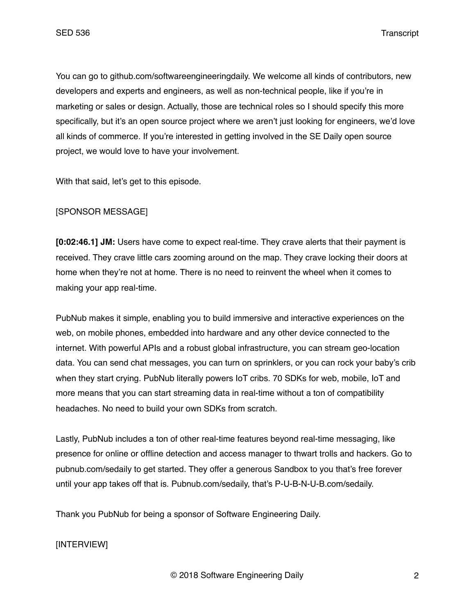You can go to github.com/softwareengineeringdaily. We welcome all kinds of contributors, new developers and experts and engineers, as well as non-technical people, like if you're in marketing or sales or design. Actually, those are technical roles so I should specify this more specifically, but it's an open source project where we aren't just looking for engineers, we'd love all kinds of commerce. If you're interested in getting involved in the SE Daily open source project, we would love to have your involvement.

With that said, let's get to this episode.

## [SPONSOR MESSAGE]

**[0:02:46.1] JM:** Users have come to expect real-time. They crave alerts that their payment is received. They crave little cars zooming around on the map. They crave locking their doors at home when they're not at home. There is no need to reinvent the wheel when it comes to making your app real-time.

PubNub makes it simple, enabling you to build immersive and interactive experiences on the web, on mobile phones, embedded into hardware and any other device connected to the internet. With powerful APIs and a robust global infrastructure, you can stream geo-location data. You can send chat messages, you can turn on sprinklers, or you can rock your baby's crib when they start crying. PubNub literally powers IoT cribs. 70 SDKs for web, mobile, IoT and more means that you can start streaming data in real-time without a ton of compatibility headaches. No need to build your own SDKs from scratch.

Lastly, PubNub includes a ton of other real-time features beyond real-time messaging, like presence for online or offline detection and access manager to thwart trolls and hackers. Go to pubnub.com/sedaily to get started. They offer a generous Sandbox to you that's free forever until your app takes off that is. Pubnub.com/sedaily, that's P-U-B-N-U-B.com/sedaily.

Thank you PubNub for being a sponsor of Software Engineering Daily.

## [INTERVIEW]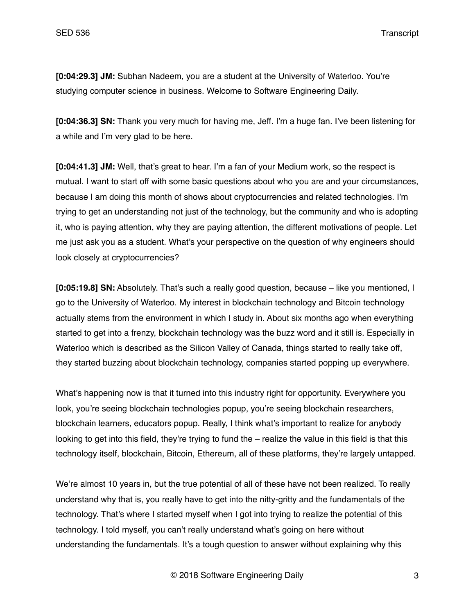**[0:04:29.3] JM:** Subhan Nadeem, you are a student at the University of Waterloo. You're studying computer science in business. Welcome to Software Engineering Daily.

**[0:04:36.3] SN:** Thank you very much for having me, Jeff. I'm a huge fan. I've been listening for a while and I'm very glad to be here.

**[0:04:41.3] JM:** Well, that's great to hear. I'm a fan of your Medium work, so the respect is mutual. I want to start off with some basic questions about who you are and your circumstances, because I am doing this month of shows about cryptocurrencies and related technologies. I'm trying to get an understanding not just of the technology, but the community and who is adopting it, who is paying attention, why they are paying attention, the different motivations of people. Let me just ask you as a student. What's your perspective on the question of why engineers should look closely at cryptocurrencies?

**[0:05:19.8] SN:** Absolutely. That's such a really good question, because – like you mentioned, I go to the University of Waterloo. My interest in blockchain technology and Bitcoin technology actually stems from the environment in which I study in. About six months ago when everything started to get into a frenzy, blockchain technology was the buzz word and it still is. Especially in Waterloo which is described as the Silicon Valley of Canada, things started to really take off, they started buzzing about blockchain technology, companies started popping up everywhere.

What's happening now is that it turned into this industry right for opportunity. Everywhere you look, you're seeing blockchain technologies popup, you're seeing blockchain researchers, blockchain learners, educators popup. Really, I think what's important to realize for anybody looking to get into this field, they're trying to fund the – realize the value in this field is that this technology itself, blockchain, Bitcoin, Ethereum, all of these platforms, they're largely untapped.

We're almost 10 years in, but the true potential of all of these have not been realized. To really understand why that is, you really have to get into the nitty-gritty and the fundamentals of the technology. That's where I started myself when I got into trying to realize the potential of this technology. I told myself, you can't really understand what's going on here without understanding the fundamentals. It's a tough question to answer without explaining why this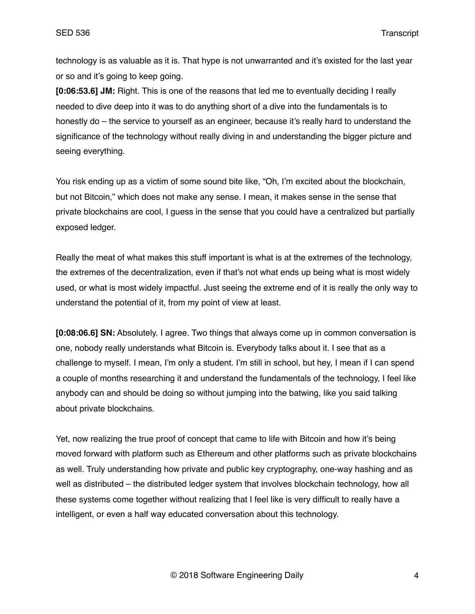technology is as valuable as it is. That hype is not unwarranted and it's existed for the last year or so and it's going to keep going.

**[0:06:53.6] JM:** Right. This is one of the reasons that led me to eventually deciding I really needed to dive deep into it was to do anything short of a dive into the fundamentals is to honestly do – the service to yourself as an engineer, because it's really hard to understand the significance of the technology without really diving in and understanding the bigger picture and seeing everything.

You risk ending up as a victim of some sound bite like, "Oh, I'm excited about the blockchain, but not Bitcoin," which does not make any sense. I mean, it makes sense in the sense that private blockchains are cool, I guess in the sense that you could have a centralized but partially exposed ledger.

Really the meat of what makes this stuff important is what is at the extremes of the technology, the extremes of the decentralization, even if that's not what ends up being what is most widely used, or what is most widely impactful. Just seeing the extreme end of it is really the only way to understand the potential of it, from my point of view at least.

**[0:08:06.6] SN:** Absolutely. I agree. Two things that always come up in common conversation is one, nobody really understands what Bitcoin is. Everybody talks about it. I see that as a challenge to myself. I mean, I'm only a student. I'm still in school, but hey, I mean if I can spend a couple of months researching it and understand the fundamentals of the technology, I feel like anybody can and should be doing so without jumping into the batwing, like you said talking about private blockchains.

Yet, now realizing the true proof of concept that came to life with Bitcoin and how it's being moved forward with platform such as Ethereum and other platforms such as private blockchains as well. Truly understanding how private and public key cryptography, one-way hashing and as well as distributed – the distributed ledger system that involves blockchain technology, how all these systems come together without realizing that I feel like is very difficult to really have a intelligent, or even a half way educated conversation about this technology.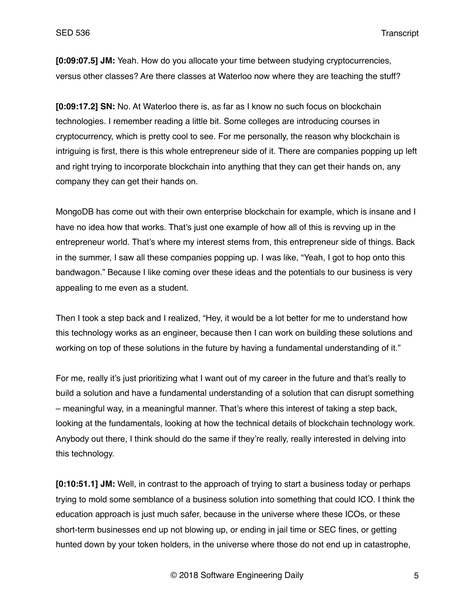**[0:09:07.5] JM:** Yeah. How do you allocate your time between studying cryptocurrencies, versus other classes? Are there classes at Waterloo now where they are teaching the stuff?

**[0:09:17.2] SN:** No. At Waterloo there is, as far as I know no such focus on blockchain technologies. I remember reading a little bit. Some colleges are introducing courses in cryptocurrency, which is pretty cool to see. For me personally, the reason why blockchain is intriguing is first, there is this whole entrepreneur side of it. There are companies popping up left and right trying to incorporate blockchain into anything that they can get their hands on, any company they can get their hands on.

MongoDB has come out with their own enterprise blockchain for example, which is insane and I have no idea how that works. That's just one example of how all of this is revving up in the entrepreneur world. That's where my interest stems from, this entrepreneur side of things. Back in the summer, I saw all these companies popping up. I was like, "Yeah, I got to hop onto this bandwagon." Because I like coming over these ideas and the potentials to our business is very appealing to me even as a student.

Then I took a step back and I realized, "Hey, it would be a lot better for me to understand how this technology works as an engineer, because then I can work on building these solutions and working on top of these solutions in the future by having a fundamental understanding of it."

For me, really it's just prioritizing what I want out of my career in the future and that's really to build a solution and have a fundamental understanding of a solution that can disrupt something – meaningful way, in a meaningful manner. That's where this interest of taking a step back, looking at the fundamentals, looking at how the technical details of blockchain technology work. Anybody out there, I think should do the same if they're really, really interested in delving into this technology.

**[0:10:51.1] JM:** Well, in contrast to the approach of trying to start a business today or perhaps trying to mold some semblance of a business solution into something that could ICO. I think the education approach is just much safer, because in the universe where these ICOs, or these short-term businesses end up not blowing up, or ending in jail time or SEC fines, or getting hunted down by your token holders, in the universe where those do not end up in catastrophe,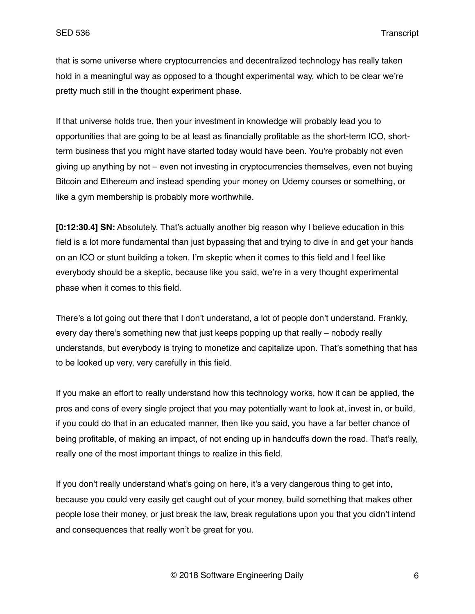that is some universe where cryptocurrencies and decentralized technology has really taken hold in a meaningful way as opposed to a thought experimental way, which to be clear we're pretty much still in the thought experiment phase.

If that universe holds true, then your investment in knowledge will probably lead you to opportunities that are going to be at least as financially profitable as the short-term ICO, shortterm business that you might have started today would have been. You're probably not even giving up anything by not – even not investing in cryptocurrencies themselves, even not buying Bitcoin and Ethereum and instead spending your money on Udemy courses or something, or like a gym membership is probably more worthwhile.

**[0:12:30.4] SN:** Absolutely. That's actually another big reason why I believe education in this field is a lot more fundamental than just bypassing that and trying to dive in and get your hands on an ICO or stunt building a token. I'm skeptic when it comes to this field and I feel like everybody should be a skeptic, because like you said, we're in a very thought experimental phase when it comes to this field.

There's a lot going out there that I don't understand, a lot of people don't understand. Frankly, every day there's something new that just keeps popping up that really – nobody really understands, but everybody is trying to monetize and capitalize upon. That's something that has to be looked up very, very carefully in this field.

If you make an effort to really understand how this technology works, how it can be applied, the pros and cons of every single project that you may potentially want to look at, invest in, or build, if you could do that in an educated manner, then like you said, you have a far better chance of being profitable, of making an impact, of not ending up in handcuffs down the road. That's really, really one of the most important things to realize in this field.

If you don't really understand what's going on here, it's a very dangerous thing to get into, because you could very easily get caught out of your money, build something that makes other people lose their money, or just break the law, break regulations upon you that you didn't intend and consequences that really won't be great for you.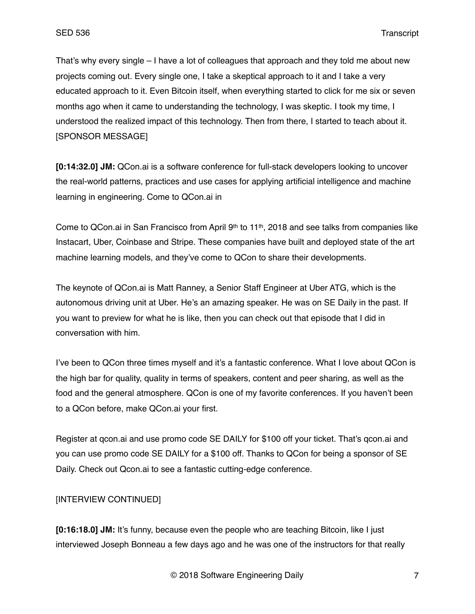That's why every single – I have a lot of colleagues that approach and they told me about new projects coming out. Every single one, I take a skeptical approach to it and I take a very educated approach to it. Even Bitcoin itself, when everything started to click for me six or seven months ago when it came to understanding the technology, I was skeptic. I took my time, I understood the realized impact of this technology. Then from there, I started to teach about it. [SPONSOR MESSAGE]

**[0:14:32.0] JM:** QCon.ai is a software conference for full-stack developers looking to uncover the real-world patterns, practices and use cases for applying artificial intelligence and machine learning in engineering. Come to QCon.ai in

Come to QCon.ai in San Francisco from April 9th to 11th, 2018 and see talks from companies like Instacart, Uber, Coinbase and Stripe. These companies have built and deployed state of the art machine learning models, and they've come to QCon to share their developments.

The keynote of QCon.ai is Matt Ranney, a Senior Staff Engineer at Uber ATG, which is the autonomous driving unit at Uber. He's an amazing speaker. He was on SE Daily in the past. If you want to preview for what he is like, then you can check out that episode that I did in conversation with him.

I've been to QCon three times myself and it's a fantastic conference. What I love about QCon is the high bar for quality, quality in terms of speakers, content and peer sharing, as well as the food and the general atmosphere. QCon is one of my favorite conferences. If you haven't been to a QCon before, make QCon.ai your first.

Register at gcon.ai and use promo code SE DAILY for \$100 off your ticket. That's gcon.ai and you can use promo code SE DAILY for a \$100 off. Thanks to QCon for being a sponsor of SE Daily. Check out Qcon.ai to see a fantastic cutting-edge conference.

# [INTERVIEW CONTINUED]

**[0:16:18.0] JM:** It's funny, because even the people who are teaching Bitcoin, like I just interviewed Joseph Bonneau a few days ago and he was one of the instructors for that really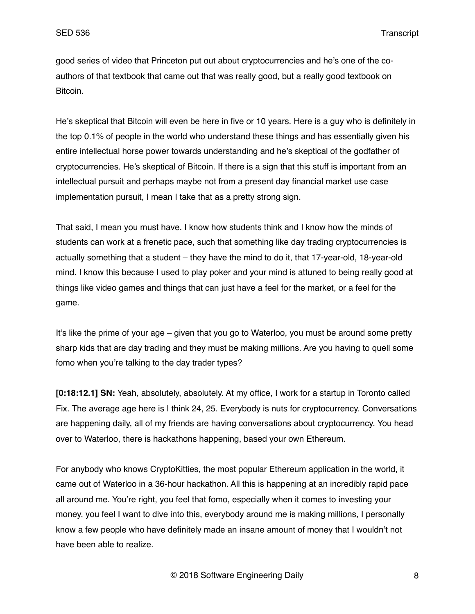good series of video that Princeton put out about cryptocurrencies and he's one of the coauthors of that textbook that came out that was really good, but a really good textbook on Bitcoin.

He's skeptical that Bitcoin will even be here in five or 10 years. Here is a guy who is definitely in the top 0.1% of people in the world who understand these things and has essentially given his entire intellectual horse power towards understanding and he's skeptical of the godfather of cryptocurrencies. He's skeptical of Bitcoin. If there is a sign that this stuff is important from an intellectual pursuit and perhaps maybe not from a present day financial market use case implementation pursuit, I mean I take that as a pretty strong sign.

That said, I mean you must have. I know how students think and I know how the minds of students can work at a frenetic pace, such that something like day trading cryptocurrencies is actually something that a student – they have the mind to do it, that 17-year-old, 18-year-old mind. I know this because I used to play poker and your mind is attuned to being really good at things like video games and things that can just have a feel for the market, or a feel for the game.

It's like the prime of your age – given that you go to Waterloo, you must be around some pretty sharp kids that are day trading and they must be making millions. Are you having to quell some fomo when you're talking to the day trader types?

**[0:18:12.1] SN:** Yeah, absolutely, absolutely. At my office, I work for a startup in Toronto called Fix. The average age here is I think 24, 25. Everybody is nuts for cryptocurrency. Conversations are happening daily, all of my friends are having conversations about cryptocurrency. You head over to Waterloo, there is hackathons happening, based your own Ethereum.

For anybody who knows CryptoKitties, the most popular Ethereum application in the world, it came out of Waterloo in a 36-hour hackathon. All this is happening at an incredibly rapid pace all around me. You're right, you feel that fomo, especially when it comes to investing your money, you feel I want to dive into this, everybody around me is making millions, I personally know a few people who have definitely made an insane amount of money that I wouldn't not have been able to realize.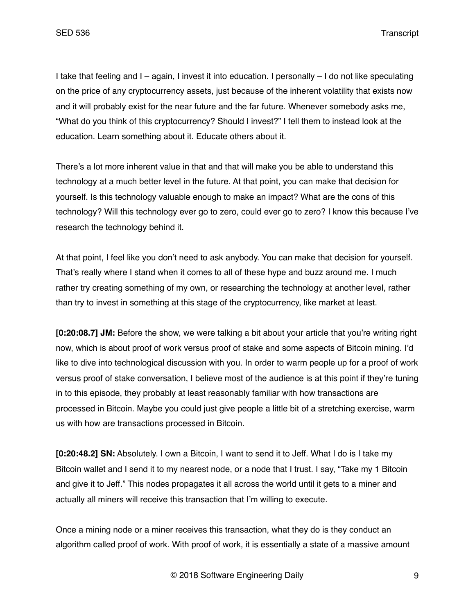I take that feeling and I – again, I invest it into education. I personally – I do not like speculating on the price of any cryptocurrency assets, just because of the inherent volatility that exists now and it will probably exist for the near future and the far future. Whenever somebody asks me, "What do you think of this cryptocurrency? Should I invest?" I tell them to instead look at the education. Learn something about it. Educate others about it.

There's a lot more inherent value in that and that will make you be able to understand this technology at a much better level in the future. At that point, you can make that decision for yourself. Is this technology valuable enough to make an impact? What are the cons of this technology? Will this technology ever go to zero, could ever go to zero? I know this because I've research the technology behind it.

At that point, I feel like you don't need to ask anybody. You can make that decision for yourself. That's really where I stand when it comes to all of these hype and buzz around me. I much rather try creating something of my own, or researching the technology at another level, rather than try to invest in something at this stage of the cryptocurrency, like market at least.

**[0:20:08.7] JM:** Before the show, we were talking a bit about your article that you're writing right now, which is about proof of work versus proof of stake and some aspects of Bitcoin mining. I'd like to dive into technological discussion with you. In order to warm people up for a proof of work versus proof of stake conversation, I believe most of the audience is at this point if they're tuning in to this episode, they probably at least reasonably familiar with how transactions are processed in Bitcoin. Maybe you could just give people a little bit of a stretching exercise, warm us with how are transactions processed in Bitcoin.

**[0:20:48.2] SN:** Absolutely. I own a Bitcoin, I want to send it to Jeff. What I do is I take my Bitcoin wallet and I send it to my nearest node, or a node that I trust. I say, "Take my 1 Bitcoin and give it to Jeff." This nodes propagates it all across the world until it gets to a miner and actually all miners will receive this transaction that I'm willing to execute.

Once a mining node or a miner receives this transaction, what they do is they conduct an algorithm called proof of work. With proof of work, it is essentially a state of a massive amount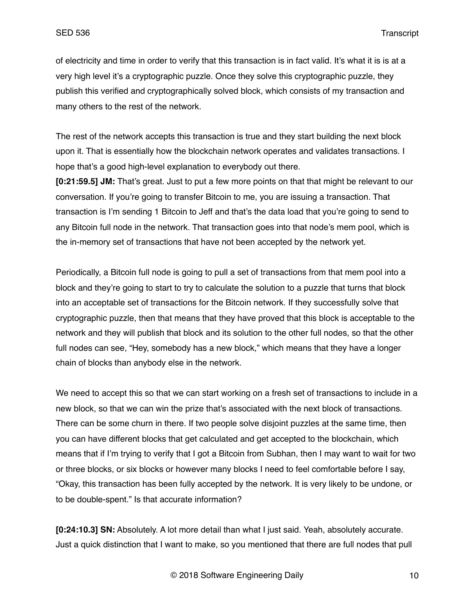of electricity and time in order to verify that this transaction is in fact valid. It's what it is is at a very high level it's a cryptographic puzzle. Once they solve this cryptographic puzzle, they publish this verified and cryptographically solved block, which consists of my transaction and many others to the rest of the network.

The rest of the network accepts this transaction is true and they start building the next block upon it. That is essentially how the blockchain network operates and validates transactions. I hope that's a good high-level explanation to everybody out there.

**[0:21:59.5] JM:** That's great. Just to put a few more points on that that might be relevant to our conversation. If you're going to transfer Bitcoin to me, you are issuing a transaction. That transaction is I'm sending 1 Bitcoin to Jeff and that's the data load that you're going to send to any Bitcoin full node in the network. That transaction goes into that node's mem pool, which is the in-memory set of transactions that have not been accepted by the network yet.

Periodically, a Bitcoin full node is going to pull a set of transactions from that mem pool into a block and they're going to start to try to calculate the solution to a puzzle that turns that block into an acceptable set of transactions for the Bitcoin network. If they successfully solve that cryptographic puzzle, then that means that they have proved that this block is acceptable to the network and they will publish that block and its solution to the other full nodes, so that the other full nodes can see, "Hey, somebody has a new block," which means that they have a longer chain of blocks than anybody else in the network.

We need to accept this so that we can start working on a fresh set of transactions to include in a new block, so that we can win the prize that's associated with the next block of transactions. There can be some churn in there. If two people solve disjoint puzzles at the same time, then you can have different blocks that get calculated and get accepted to the blockchain, which means that if I'm trying to verify that I got a Bitcoin from Subhan, then I may want to wait for two or three blocks, or six blocks or however many blocks I need to feel comfortable before I say, "Okay, this transaction has been fully accepted by the network. It is very likely to be undone, or to be double-spent." Is that accurate information?

**[0:24:10.3] SN:** Absolutely. A lot more detail than what I just said. Yeah, absolutely accurate. Just a quick distinction that I want to make, so you mentioned that there are full nodes that pull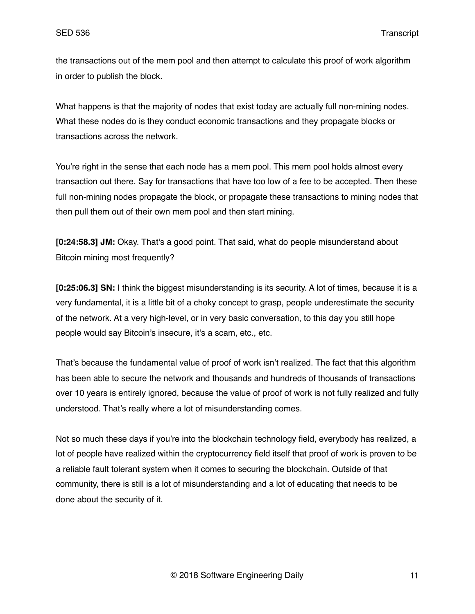the transactions out of the mem pool and then attempt to calculate this proof of work algorithm in order to publish the block.

What happens is that the majority of nodes that exist today are actually full non-mining nodes. What these nodes do is they conduct economic transactions and they propagate blocks or transactions across the network.

You're right in the sense that each node has a mem pool. This mem pool holds almost every transaction out there. Say for transactions that have too low of a fee to be accepted. Then these full non-mining nodes propagate the block, or propagate these transactions to mining nodes that then pull them out of their own mem pool and then start mining.

**[0:24:58.3] JM:** Okay. That's a good point. That said, what do people misunderstand about Bitcoin mining most frequently?

**[0:25:06.3] SN:** I think the biggest misunderstanding is its security. A lot of times, because it is a very fundamental, it is a little bit of a choky concept to grasp, people underestimate the security of the network. At a very high-level, or in very basic conversation, to this day you still hope people would say Bitcoin's insecure, it's a scam, etc., etc.

That's because the fundamental value of proof of work isn't realized. The fact that this algorithm has been able to secure the network and thousands and hundreds of thousands of transactions over 10 years is entirely ignored, because the value of proof of work is not fully realized and fully understood. That's really where a lot of misunderstanding comes.

Not so much these days if you're into the blockchain technology field, everybody has realized, a lot of people have realized within the cryptocurrency field itself that proof of work is proven to be a reliable fault tolerant system when it comes to securing the blockchain. Outside of that community, there is still is a lot of misunderstanding and a lot of educating that needs to be done about the security of it.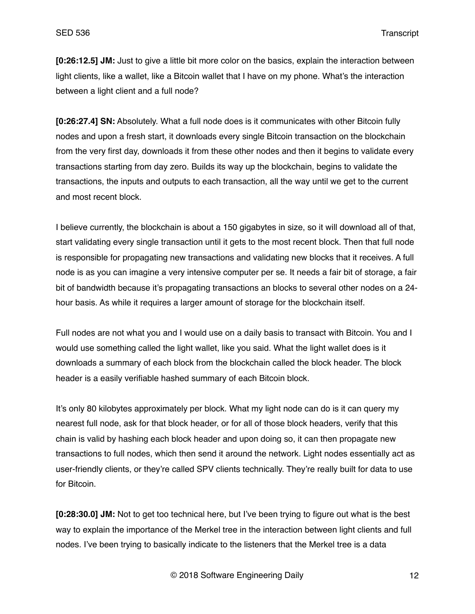**[0:26:12.5] JM:** Just to give a little bit more color on the basics, explain the interaction between light clients, like a wallet, like a Bitcoin wallet that I have on my phone. What's the interaction between a light client and a full node?

**[0:26:27.4] SN:** Absolutely. What a full node does is it communicates with other Bitcoin fully nodes and upon a fresh start, it downloads every single Bitcoin transaction on the blockchain from the very first day, downloads it from these other nodes and then it begins to validate every transactions starting from day zero. Builds its way up the blockchain, begins to validate the transactions, the inputs and outputs to each transaction, all the way until we get to the current and most recent block.

I believe currently, the blockchain is about a 150 gigabytes in size, so it will download all of that, start validating every single transaction until it gets to the most recent block. Then that full node is responsible for propagating new transactions and validating new blocks that it receives. A full node is as you can imagine a very intensive computer per se. It needs a fair bit of storage, a fair bit of bandwidth because it's propagating transactions an blocks to several other nodes on a 24 hour basis. As while it requires a larger amount of storage for the blockchain itself.

Full nodes are not what you and I would use on a daily basis to transact with Bitcoin. You and I would use something called the light wallet, like you said. What the light wallet does is it downloads a summary of each block from the blockchain called the block header. The block header is a easily verifiable hashed summary of each Bitcoin block.

It's only 80 kilobytes approximately per block. What my light node can do is it can query my nearest full node, ask for that block header, or for all of those block headers, verify that this chain is valid by hashing each block header and upon doing so, it can then propagate new transactions to full nodes, which then send it around the network. Light nodes essentially act as user-friendly clients, or they're called SPV clients technically. They're really built for data to use for Bitcoin.

**[0:28:30.0] JM:** Not to get too technical here, but I've been trying to figure out what is the best way to explain the importance of the Merkel tree in the interaction between light clients and full nodes. I've been trying to basically indicate to the listeners that the Merkel tree is a data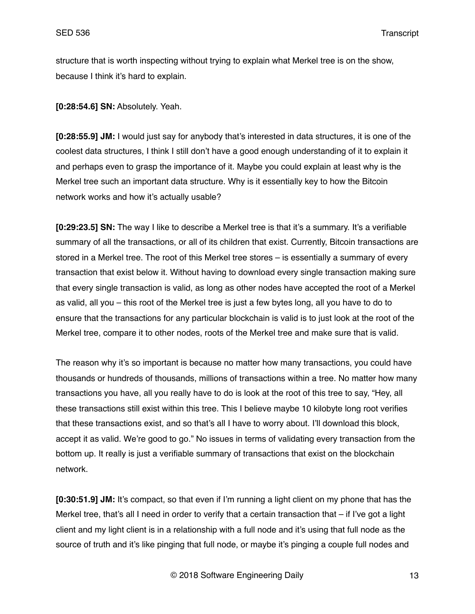structure that is worth inspecting without trying to explain what Merkel tree is on the show, because I think it's hard to explain.

**[0:28:54.6] SN:** Absolutely. Yeah.

**[0:28:55.9] JM:** I would just say for anybody that's interested in data structures, it is one of the coolest data structures, I think I still don't have a good enough understanding of it to explain it and perhaps even to grasp the importance of it. Maybe you could explain at least why is the Merkel tree such an important data structure. Why is it essentially key to how the Bitcoin network works and how it's actually usable?

**[0:29:23.5] SN:** The way I like to describe a Merkel tree is that it's a summary. It's a verifiable summary of all the transactions, or all of its children that exist. Currently, Bitcoin transactions are stored in a Merkel tree. The root of this Merkel tree stores – is essentially a summary of every transaction that exist below it. Without having to download every single transaction making sure that every single transaction is valid, as long as other nodes have accepted the root of a Merkel as valid, all you – this root of the Merkel tree is just a few bytes long, all you have to do to ensure that the transactions for any particular blockchain is valid is to just look at the root of the Merkel tree, compare it to other nodes, roots of the Merkel tree and make sure that is valid.

The reason why it's so important is because no matter how many transactions, you could have thousands or hundreds of thousands, millions of transactions within a tree. No matter how many transactions you have, all you really have to do is look at the root of this tree to say, "Hey, all these transactions still exist within this tree. This I believe maybe 10 kilobyte long root verifies that these transactions exist, and so that's all I have to worry about. I'll download this block, accept it as valid. We're good to go." No issues in terms of validating every transaction from the bottom up. It really is just a verifiable summary of transactions that exist on the blockchain network.

**[0:30:51.9] JM:** It's compact, so that even if I'm running a light client on my phone that has the Merkel tree, that's all I need in order to verify that a certain transaction that – if I've got a light client and my light client is in a relationship with a full node and it's using that full node as the source of truth and it's like pinging that full node, or maybe it's pinging a couple full nodes and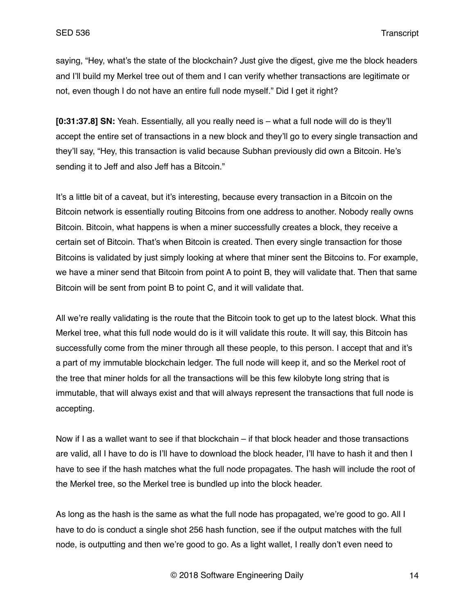saying, "Hey, what's the state of the blockchain? Just give the digest, give me the block headers and I'll build my Merkel tree out of them and I can verify whether transactions are legitimate or not, even though I do not have an entire full node myself." Did I get it right?

**[0:31:37.8] SN:** Yeah. Essentially, all you really need is – what a full node will do is they'll accept the entire set of transactions in a new block and they'll go to every single transaction and they'll say, "Hey, this transaction is valid because Subhan previously did own a Bitcoin. He's sending it to Jeff and also Jeff has a Bitcoin."

It's a little bit of a caveat, but it's interesting, because every transaction in a Bitcoin on the Bitcoin network is essentially routing Bitcoins from one address to another. Nobody really owns Bitcoin. Bitcoin, what happens is when a miner successfully creates a block, they receive a certain set of Bitcoin. That's when Bitcoin is created. Then every single transaction for those Bitcoins is validated by just simply looking at where that miner sent the Bitcoins to. For example, we have a miner send that Bitcoin from point A to point B, they will validate that. Then that same Bitcoin will be sent from point B to point C, and it will validate that.

All we're really validating is the route that the Bitcoin took to get up to the latest block. What this Merkel tree, what this full node would do is it will validate this route. It will say, this Bitcoin has successfully come from the miner through all these people, to this person. I accept that and it's a part of my immutable blockchain ledger. The full node will keep it, and so the Merkel root of the tree that miner holds for all the transactions will be this few kilobyte long string that is immutable, that will always exist and that will always represent the transactions that full node is accepting.

Now if I as a wallet want to see if that blockchain – if that block header and those transactions are valid, all I have to do is I'll have to download the block header, I'll have to hash it and then I have to see if the hash matches what the full node propagates. The hash will include the root of the Merkel tree, so the Merkel tree is bundled up into the block header.

As long as the hash is the same as what the full node has propagated, we're good to go. All I have to do is conduct a single shot 256 hash function, see if the output matches with the full node, is outputting and then we're good to go. As a light wallet, I really don't even need to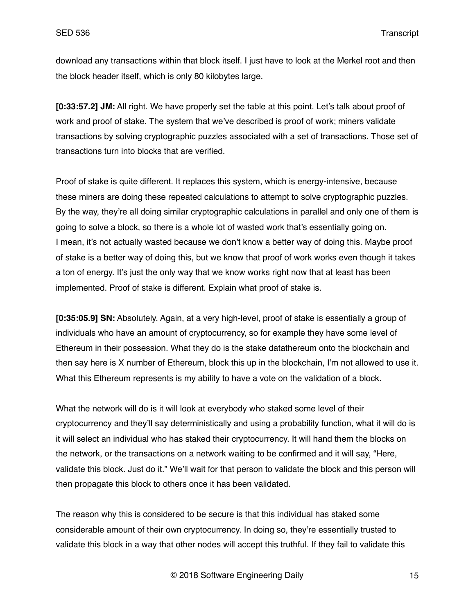download any transactions within that block itself. I just have to look at the Merkel root and then the block header itself, which is only 80 kilobytes large.

**[0:33:57.2] JM:** All right. We have properly set the table at this point. Let's talk about proof of work and proof of stake. The system that we've described is proof of work; miners validate transactions by solving cryptographic puzzles associated with a set of transactions. Those set of transactions turn into blocks that are verified.

Proof of stake is quite different. It replaces this system, which is energy-intensive, because these miners are doing these repeated calculations to attempt to solve cryptographic puzzles. By the way, they're all doing similar cryptographic calculations in parallel and only one of them is going to solve a block, so there is a whole lot of wasted work that's essentially going on. I mean, it's not actually wasted because we don't know a better way of doing this. Maybe proof of stake is a better way of doing this, but we know that proof of work works even though it takes a ton of energy. It's just the only way that we know works right now that at least has been implemented. Proof of stake is different. Explain what proof of stake is.

**[0:35:05.9] SN:** Absolutely. Again, at a very high-level, proof of stake is essentially a group of individuals who have an amount of cryptocurrency, so for example they have some level of Ethereum in their possession. What they do is the stake datathereum onto the blockchain and then say here is X number of Ethereum, block this up in the blockchain, I'm not allowed to use it. What this Ethereum represents is my ability to have a vote on the validation of a block.

What the network will do is it will look at everybody who staked some level of their cryptocurrency and they'll say deterministically and using a probability function, what it will do is it will select an individual who has staked their cryptocurrency. It will hand them the blocks on the network, or the transactions on a network waiting to be confirmed and it will say, "Here, validate this block. Just do it." We'll wait for that person to validate the block and this person will then propagate this block to others once it has been validated.

The reason why this is considered to be secure is that this individual has staked some considerable amount of their own cryptocurrency. In doing so, they're essentially trusted to validate this block in a way that other nodes will accept this truthful. If they fail to validate this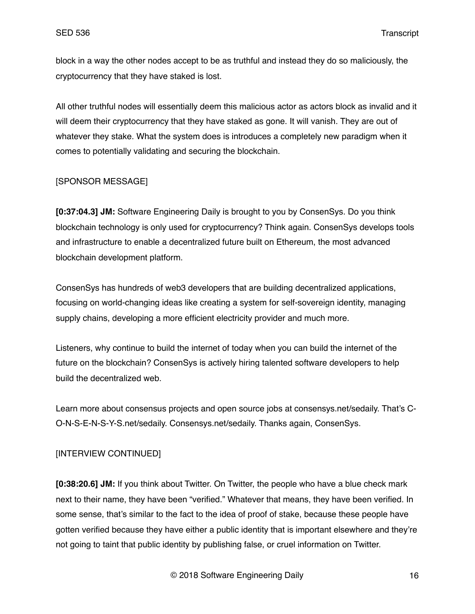block in a way the other nodes accept to be as truthful and instead they do so maliciously, the cryptocurrency that they have staked is lost.

All other truthful nodes will essentially deem this malicious actor as actors block as invalid and it will deem their cryptocurrency that they have staked as gone. It will vanish. They are out of whatever they stake. What the system does is introduces a completely new paradigm when it comes to potentially validating and securing the blockchain.

# [SPONSOR MESSAGE]

**[0:37:04.3] JM:** Software Engineering Daily is brought to you by ConsenSys. Do you think blockchain technology is only used for cryptocurrency? Think again. ConsenSys develops tools and infrastructure to enable a decentralized future built on Ethereum, the most advanced blockchain development platform.

ConsenSys has hundreds of web3 developers that are building decentralized applications, focusing on world-changing ideas like creating a system for self-sovereign identity, managing supply chains, developing a more efficient electricity provider and much more.

Listeners, why continue to build the internet of today when you can build the internet of the future on the blockchain? ConsenSys is actively hiring talented software developers to help build the decentralized web.

Learn more about consensus projects and open source jobs at consensys.net/sedaily. That's C-O-N-S-E-N-S-Y-S.net/sedaily. Consensys.net/sedaily. Thanks again, ConsenSys.

# [INTERVIEW CONTINUED]

**[0:38:20.6] JM:** If you think about Twitter. On Twitter, the people who have a blue check mark next to their name, they have been "verified." Whatever that means, they have been verified. In some sense, that's similar to the fact to the idea of proof of stake, because these people have gotten verified because they have either a public identity that is important elsewhere and they're not going to taint that public identity by publishing false, or cruel information on Twitter.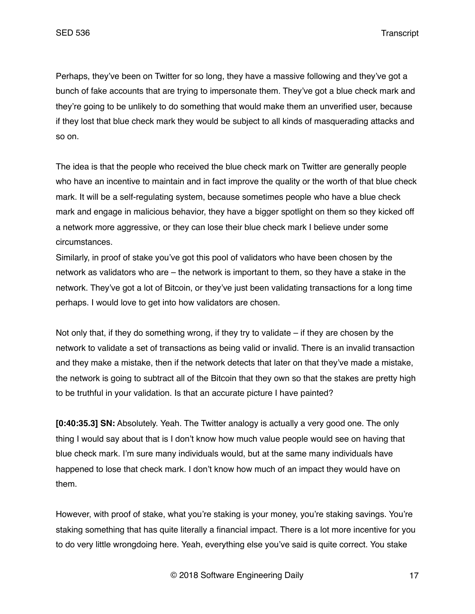Perhaps, they've been on Twitter for so long, they have a massive following and they've got a bunch of fake accounts that are trying to impersonate them. They've got a blue check mark and they're going to be unlikely to do something that would make them an unverified user, because if they lost that blue check mark they would be subject to all kinds of masquerading attacks and so on.

The idea is that the people who received the blue check mark on Twitter are generally people who have an incentive to maintain and in fact improve the quality or the worth of that blue check mark. It will be a self-regulating system, because sometimes people who have a blue check mark and engage in malicious behavior, they have a bigger spotlight on them so they kicked off a network more aggressive, or they can lose their blue check mark I believe under some circumstances.

Similarly, in proof of stake you've got this pool of validators who have been chosen by the network as validators who are – the network is important to them, so they have a stake in the network. They've got a lot of Bitcoin, or they've just been validating transactions for a long time perhaps. I would love to get into how validators are chosen.

Not only that, if they do something wrong, if they try to validate  $-$  if they are chosen by the network to validate a set of transactions as being valid or invalid. There is an invalid transaction and they make a mistake, then if the network detects that later on that they've made a mistake, the network is going to subtract all of the Bitcoin that they own so that the stakes are pretty high to be truthful in your validation. Is that an accurate picture I have painted?

**[0:40:35.3] SN:** Absolutely. Yeah. The Twitter analogy is actually a very good one. The only thing I would say about that is I don't know how much value people would see on having that blue check mark. I'm sure many individuals would, but at the same many individuals have happened to lose that check mark. I don't know how much of an impact they would have on them.

However, with proof of stake, what you're staking is your money, you're staking savings. You're staking something that has quite literally a financial impact. There is a lot more incentive for you to do very little wrongdoing here. Yeah, everything else you've said is quite correct. You stake

© 2018 Software Engineering Daily 17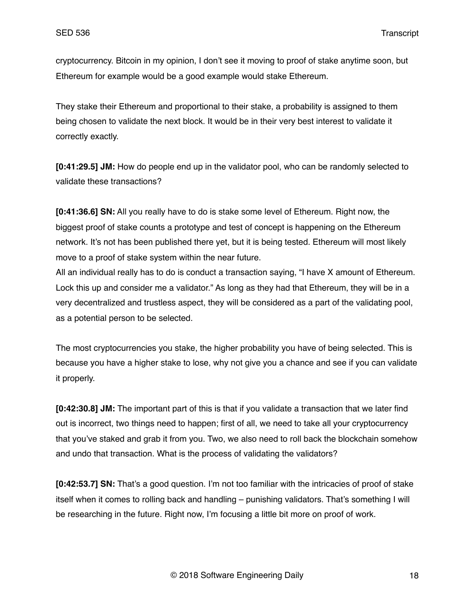cryptocurrency. Bitcoin in my opinion, I don't see it moving to proof of stake anytime soon, but Ethereum for example would be a good example would stake Ethereum.

They stake their Ethereum and proportional to their stake, a probability is assigned to them being chosen to validate the next block. It would be in their very best interest to validate it correctly exactly.

**[0:41:29.5] JM:** How do people end up in the validator pool, who can be randomly selected to validate these transactions?

**[0:41:36.6] SN:** All you really have to do is stake some level of Ethereum. Right now, the biggest proof of stake counts a prototype and test of concept is happening on the Ethereum network. It's not has been published there yet, but it is being tested. Ethereum will most likely move to a proof of stake system within the near future.

All an individual really has to do is conduct a transaction saying, "I have X amount of Ethereum. Lock this up and consider me a validator." As long as they had that Ethereum, they will be in a very decentralized and trustless aspect, they will be considered as a part of the validating pool, as a potential person to be selected.

The most cryptocurrencies you stake, the higher probability you have of being selected. This is because you have a higher stake to lose, why not give you a chance and see if you can validate it properly.

**[0:42:30.8] JM:** The important part of this is that if you validate a transaction that we later find out is incorrect, two things need to happen; first of all, we need to take all your cryptocurrency that you've staked and grab it from you. Two, we also need to roll back the blockchain somehow and undo that transaction. What is the process of validating the validators?

**[0:42:53.7] SN:** That's a good question. I'm not too familiar with the intricacies of proof of stake itself when it comes to rolling back and handling – punishing validators. That's something I will be researching in the future. Right now, I'm focusing a little bit more on proof of work.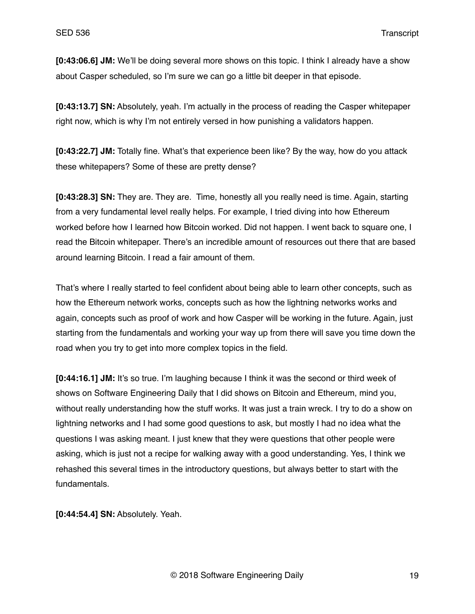**[0:43:06.6] JM:** We'll be doing several more shows on this topic. I think I already have a show about Casper scheduled, so I'm sure we can go a little bit deeper in that episode.

**[0:43:13.7] SN:** Absolutely, yeah. I'm actually in the process of reading the Casper whitepaper right now, which is why I'm not entirely versed in how punishing a validators happen.

**[0:43:22.7] JM:** Totally fine. What's that experience been like? By the way, how do you attack these whitepapers? Some of these are pretty dense?

**[0:43:28.3] SN:** They are. They are. Time, honestly all you really need is time. Again, starting from a very fundamental level really helps. For example, I tried diving into how Ethereum worked before how I learned how Bitcoin worked. Did not happen. I went back to square one, I read the Bitcoin whitepaper. There's an incredible amount of resources out there that are based around learning Bitcoin. I read a fair amount of them.

That's where I really started to feel confident about being able to learn other concepts, such as how the Ethereum network works, concepts such as how the lightning networks works and again, concepts such as proof of work and how Casper will be working in the future. Again, just starting from the fundamentals and working your way up from there will save you time down the road when you try to get into more complex topics in the field.

**[0:44:16.1] JM:** It's so true. I'm laughing because I think it was the second or third week of shows on Software Engineering Daily that I did shows on Bitcoin and Ethereum, mind you, without really understanding how the stuff works. It was just a train wreck. I try to do a show on lightning networks and I had some good questions to ask, but mostly I had no idea what the questions I was asking meant. I just knew that they were questions that other people were asking, which is just not a recipe for walking away with a good understanding. Yes, I think we rehashed this several times in the introductory questions, but always better to start with the fundamentals.

**[0:44:54.4] SN:** Absolutely. Yeah.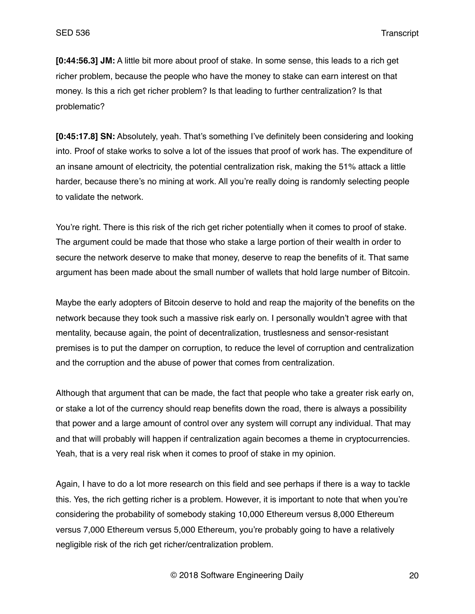**[0:44:56.3] JM:** A little bit more about proof of stake. In some sense, this leads to a rich get richer problem, because the people who have the money to stake can earn interest on that money. Is this a rich get richer problem? Is that leading to further centralization? Is that problematic?

**[0:45:17.8] SN:** Absolutely, yeah. That's something I've definitely been considering and looking into. Proof of stake works to solve a lot of the issues that proof of work has. The expenditure of an insane amount of electricity, the potential centralization risk, making the 51% attack a little harder, because there's no mining at work. All you're really doing is randomly selecting people to validate the network.

You're right. There is this risk of the rich get richer potentially when it comes to proof of stake. The argument could be made that those who stake a large portion of their wealth in order to secure the network deserve to make that money, deserve to reap the benefits of it. That same argument has been made about the small number of wallets that hold large number of Bitcoin.

Maybe the early adopters of Bitcoin deserve to hold and reap the majority of the benefits on the network because they took such a massive risk early on. I personally wouldn't agree with that mentality, because again, the point of decentralization, trustlesness and sensor-resistant premises is to put the damper on corruption, to reduce the level of corruption and centralization and the corruption and the abuse of power that comes from centralization.

Although that argument that can be made, the fact that people who take a greater risk early on, or stake a lot of the currency should reap benefits down the road, there is always a possibility that power and a large amount of control over any system will corrupt any individual. That may and that will probably will happen if centralization again becomes a theme in cryptocurrencies. Yeah, that is a very real risk when it comes to proof of stake in my opinion.

Again, I have to do a lot more research on this field and see perhaps if there is a way to tackle this. Yes, the rich getting richer is a problem. However, it is important to note that when you're considering the probability of somebody staking 10,000 Ethereum versus 8,000 Ethereum versus 7,000 Ethereum versus 5,000 Ethereum, you're probably going to have a relatively negligible risk of the rich get richer/centralization problem.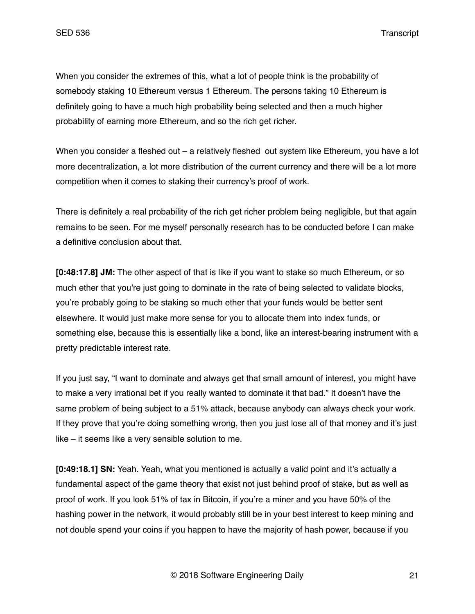When you consider the extremes of this, what a lot of people think is the probability of somebody staking 10 Ethereum versus 1 Ethereum. The persons taking 10 Ethereum is definitely going to have a much high probability being selected and then a much higher probability of earning more Ethereum, and so the rich get richer.

When you consider a fleshed out – a relatively fleshed out system like Ethereum, you have a lot more decentralization, a lot more distribution of the current currency and there will be a lot more competition when it comes to staking their currency's proof of work.

There is definitely a real probability of the rich get richer problem being negligible, but that again remains to be seen. For me myself personally research has to be conducted before I can make a definitive conclusion about that.

**[0:48:17.8] JM:** The other aspect of that is like if you want to stake so much Ethereum, or so much ether that you're just going to dominate in the rate of being selected to validate blocks, you're probably going to be staking so much ether that your funds would be better sent elsewhere. It would just make more sense for you to allocate them into index funds, or something else, because this is essentially like a bond, like an interest-bearing instrument with a pretty predictable interest rate.

If you just say, "I want to dominate and always get that small amount of interest, you might have to make a very irrational bet if you really wanted to dominate it that bad." It doesn't have the same problem of being subject to a 51% attack, because anybody can always check your work. If they prove that you're doing something wrong, then you just lose all of that money and it's just like – it seems like a very sensible solution to me.

**[0:49:18.1] SN:** Yeah. Yeah, what you mentioned is actually a valid point and it's actually a fundamental aspect of the game theory that exist not just behind proof of stake, but as well as proof of work. If you look 51% of tax in Bitcoin, if you're a miner and you have 50% of the hashing power in the network, it would probably still be in your best interest to keep mining and not double spend your coins if you happen to have the majority of hash power, because if you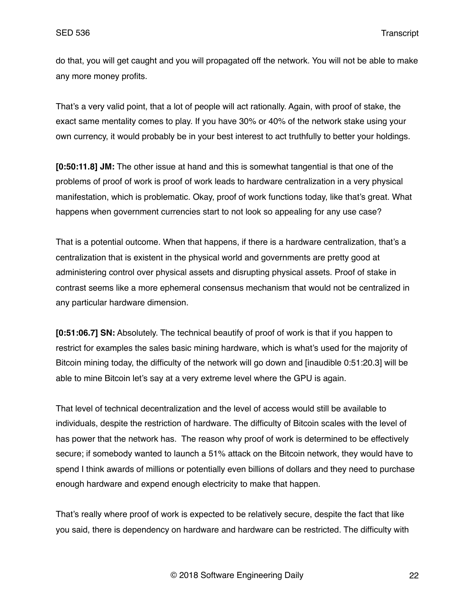do that, you will get caught and you will propagated off the network. You will not be able to make any more money profits.

That's a very valid point, that a lot of people will act rationally. Again, with proof of stake, the exact same mentality comes to play. If you have 30% or 40% of the network stake using your own currency, it would probably be in your best interest to act truthfully to better your holdings.

**[0:50:11.8] JM:** The other issue at hand and this is somewhat tangential is that one of the problems of proof of work is proof of work leads to hardware centralization in a very physical manifestation, which is problematic. Okay, proof of work functions today, like that's great. What happens when government currencies start to not look so appealing for any use case?

That is a potential outcome. When that happens, if there is a hardware centralization, that's a centralization that is existent in the physical world and governments are pretty good at administering control over physical assets and disrupting physical assets. Proof of stake in contrast seems like a more ephemeral consensus mechanism that would not be centralized in any particular hardware dimension.

**[0:51:06.7] SN:** Absolutely. The technical beautify of proof of work is that if you happen to restrict for examples the sales basic mining hardware, which is what's used for the majority of Bitcoin mining today, the difficulty of the network will go down and [inaudible 0:51:20.3] will be able to mine Bitcoin let's say at a very extreme level where the GPU is again.

That level of technical decentralization and the level of access would still be available to individuals, despite the restriction of hardware. The difficulty of Bitcoin scales with the level of has power that the network has. The reason why proof of work is determined to be effectively secure; if somebody wanted to launch a 51% attack on the Bitcoin network, they would have to spend I think awards of millions or potentially even billions of dollars and they need to purchase enough hardware and expend enough electricity to make that happen.

That's really where proof of work is expected to be relatively secure, despite the fact that like you said, there is dependency on hardware and hardware can be restricted. The difficulty with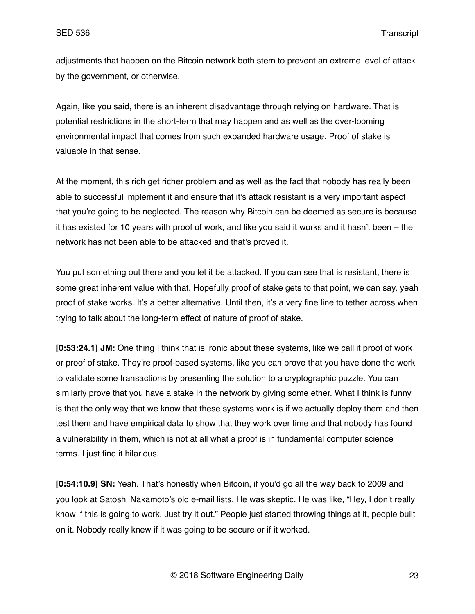adjustments that happen on the Bitcoin network both stem to prevent an extreme level of attack by the government, or otherwise.

Again, like you said, there is an inherent disadvantage through relying on hardware. That is potential restrictions in the short-term that may happen and as well as the over-looming environmental impact that comes from such expanded hardware usage. Proof of stake is valuable in that sense.

At the moment, this rich get richer problem and as well as the fact that nobody has really been able to successful implement it and ensure that it's attack resistant is a very important aspect that you're going to be neglected. The reason why Bitcoin can be deemed as secure is because it has existed for 10 years with proof of work, and like you said it works and it hasn't been – the network has not been able to be attacked and that's proved it.

You put something out there and you let it be attacked. If you can see that is resistant, there is some great inherent value with that. Hopefully proof of stake gets to that point, we can say, yeah proof of stake works. It's a better alternative. Until then, it's a very fine line to tether across when trying to talk about the long-term effect of nature of proof of stake.

**[0:53:24.1] JM:** One thing I think that is ironic about these systems, like we call it proof of work or proof of stake. They're proof-based systems, like you can prove that you have done the work to validate some transactions by presenting the solution to a cryptographic puzzle. You can similarly prove that you have a stake in the network by giving some ether. What I think is funny is that the only way that we know that these systems work is if we actually deploy them and then test them and have empirical data to show that they work over time and that nobody has found a vulnerability in them, which is not at all what a proof is in fundamental computer science terms. I just find it hilarious.

**[0:54:10.9] SN:** Yeah. That's honestly when Bitcoin, if you'd go all the way back to 2009 and you look at Satoshi Nakamoto's old e-mail lists. He was skeptic. He was like, "Hey, I don't really know if this is going to work. Just try it out." People just started throwing things at it, people built on it. Nobody really knew if it was going to be secure or if it worked.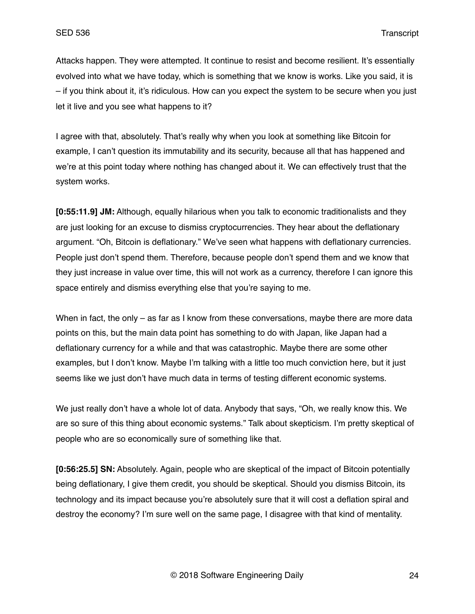Attacks happen. They were attempted. It continue to resist and become resilient. It's essentially evolved into what we have today, which is something that we know is works. Like you said, it is – if you think about it, it's ridiculous. How can you expect the system to be secure when you just let it live and you see what happens to it?

I agree with that, absolutely. That's really why when you look at something like Bitcoin for example, I can't question its immutability and its security, because all that has happened and we're at this point today where nothing has changed about it. We can effectively trust that the system works.

**[0:55:11.9] JM:** Although, equally hilarious when you talk to economic traditionalists and they are just looking for an excuse to dismiss cryptocurrencies. They hear about the deflationary argument. "Oh, Bitcoin is deflationary." We've seen what happens with deflationary currencies. People just don't spend them. Therefore, because people don't spend them and we know that they just increase in value over time, this will not work as a currency, therefore I can ignore this space entirely and dismiss everything else that you're saying to me.

When in fact, the only – as far as I know from these conversations, maybe there are more data points on this, but the main data point has something to do with Japan, like Japan had a deflationary currency for a while and that was catastrophic. Maybe there are some other examples, but I don't know. Maybe I'm talking with a little too much conviction here, but it just seems like we just don't have much data in terms of testing different economic systems.

We just really don't have a whole lot of data. Anybody that says, "Oh, we really know this. We are so sure of this thing about economic systems." Talk about skepticism. I'm pretty skeptical of people who are so economically sure of something like that.

**[0:56:25.5] SN:** Absolutely. Again, people who are skeptical of the impact of Bitcoin potentially being deflationary, I give them credit, you should be skeptical. Should you dismiss Bitcoin, its technology and its impact because you're absolutely sure that it will cost a deflation spiral and destroy the economy? I'm sure well on the same page, I disagree with that kind of mentality.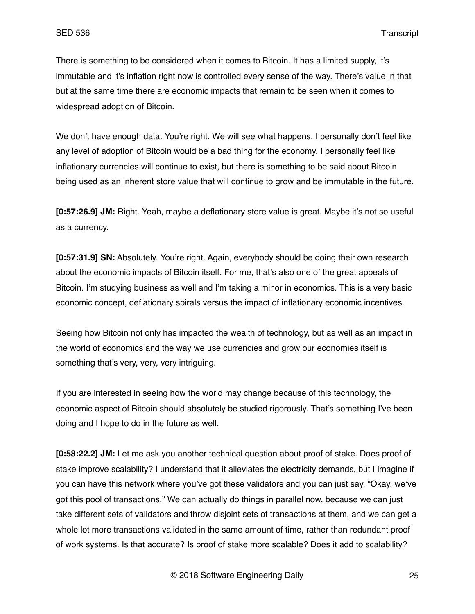There is something to be considered when it comes to Bitcoin. It has a limited supply, it's immutable and it's inflation right now is controlled every sense of the way. There's value in that but at the same time there are economic impacts that remain to be seen when it comes to widespread adoption of Bitcoin.

We don't have enough data. You're right. We will see what happens. I personally don't feel like any level of adoption of Bitcoin would be a bad thing for the economy. I personally feel like inflationary currencies will continue to exist, but there is something to be said about Bitcoin being used as an inherent store value that will continue to grow and be immutable in the future.

**[0:57:26.9] JM:** Right. Yeah, maybe a deflationary store value is great. Maybe it's not so useful as a currency.

**[0:57:31.9] SN:** Absolutely. You're right. Again, everybody should be doing their own research about the economic impacts of Bitcoin itself. For me, that's also one of the great appeals of Bitcoin. I'm studying business as well and I'm taking a minor in economics. This is a very basic economic concept, deflationary spirals versus the impact of inflationary economic incentives.

Seeing how Bitcoin not only has impacted the wealth of technology, but as well as an impact in the world of economics and the way we use currencies and grow our economies itself is something that's very, very, very intriguing.

If you are interested in seeing how the world may change because of this technology, the economic aspect of Bitcoin should absolutely be studied rigorously. That's something I've been doing and I hope to do in the future as well.

**[0:58:22.2] JM:** Let me ask you another technical question about proof of stake. Does proof of stake improve scalability? I understand that it alleviates the electricity demands, but I imagine if you can have this network where you've got these validators and you can just say, "Okay, we've got this pool of transactions." We can actually do things in parallel now, because we can just take different sets of validators and throw disjoint sets of transactions at them, and we can get a whole lot more transactions validated in the same amount of time, rather than redundant proof of work systems. Is that accurate? Is proof of stake more scalable? Does it add to scalability?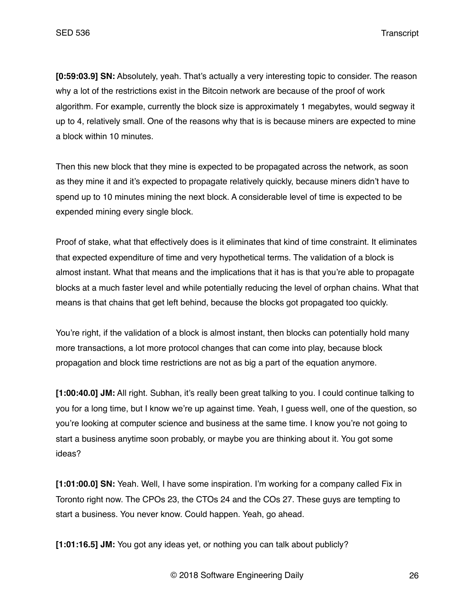**[0:59:03.9] SN:** Absolutely, yeah. That's actually a very interesting topic to consider. The reason why a lot of the restrictions exist in the Bitcoin network are because of the proof of work algorithm. For example, currently the block size is approximately 1 megabytes, would segway it up to 4, relatively small. One of the reasons why that is is because miners are expected to mine a block within 10 minutes.

Then this new block that they mine is expected to be propagated across the network, as soon as they mine it and it's expected to propagate relatively quickly, because miners didn't have to spend up to 10 minutes mining the next block. A considerable level of time is expected to be expended mining every single block.

Proof of stake, what that effectively does is it eliminates that kind of time constraint. It eliminates that expected expenditure of time and very hypothetical terms. The validation of a block is almost instant. What that means and the implications that it has is that you're able to propagate blocks at a much faster level and while potentially reducing the level of orphan chains. What that means is that chains that get left behind, because the blocks got propagated too quickly.

You're right, if the validation of a block is almost instant, then blocks can potentially hold many more transactions, a lot more protocol changes that can come into play, because block propagation and block time restrictions are not as big a part of the equation anymore.

**[1:00:40.0] JM:** All right. Subhan, it's really been great talking to you. I could continue talking to you for a long time, but I know we're up against time. Yeah, I guess well, one of the question, so you're looking at computer science and business at the same time. I know you're not going to start a business anytime soon probably, or maybe you are thinking about it. You got some ideas?

**[1:01:00.0] SN:** Yeah. Well, I have some inspiration. I'm working for a company called Fix in Toronto right now. The CPOs 23, the CTOs 24 and the COs 27. These guys are tempting to start a business. You never know. Could happen. Yeah, go ahead.

**[1:01:16.5] JM:** You got any ideas yet, or nothing you can talk about publicly?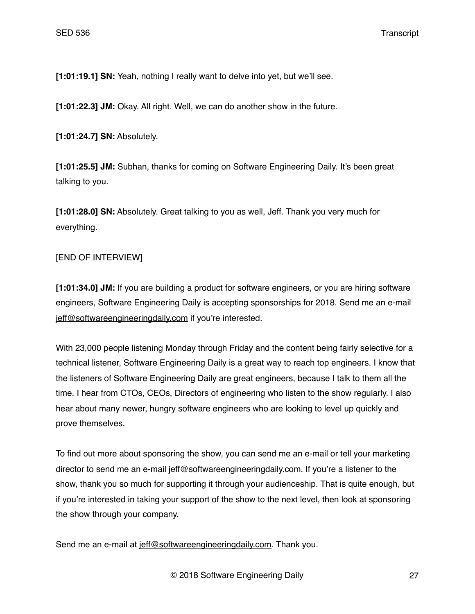**[1:01:19.1] SN:** Yeah, nothing I really want to delve into yet, but we'll see.

**[1:01:22.3] JM:** Okay. All right. Well, we can do another show in the future.

**[1:01:24.7] SN:** Absolutely.

**[1:01:25.5] JM:** Subhan, thanks for coming on Software Engineering Daily. It's been great talking to you.

**[1:01:28.0] SN:** Absolutely. Great talking to you as well, Jeff. Thank you very much for everything.

## [END OF INTERVIEW]

**[1:01:34.0] JM:** If you are building a product for software engineers, or you are hiring software engineers, Software Engineering Daily is accepting sponsorships for 2018. Send me an e-mail [jeff@softwareengineeringdaily.com](mailto:jeff@softwareengineeringdaily.com) if you're interested.

With 23,000 people listening Monday through Friday and the content being fairly selective for a technical listener, Software Engineering Daily is a great way to reach top engineers. I know that the listeners of Software Engineering Daily are great engineers, because I talk to them all the time. I hear from CTOs, CEOs, Directors of engineering who listen to the show regularly. I also hear about many newer, hungry software engineers who are looking to level up quickly and prove themselves.

To find out more about sponsoring the show, you can send me an e-mail or tell your marketing director to send me an e-mail [jeff@softwareengineeringdaily.com.](mailto:jeff@softwareengineeringdaily.com) If you're a listener to the show, thank you so much for supporting it through your audienceship. That is quite enough, but if you're interested in taking your support of the show to the next level, then look at sponsoring the show through your company.

Send me an e-mail at jeff@softwareengineeringdaily.com. Thank you.